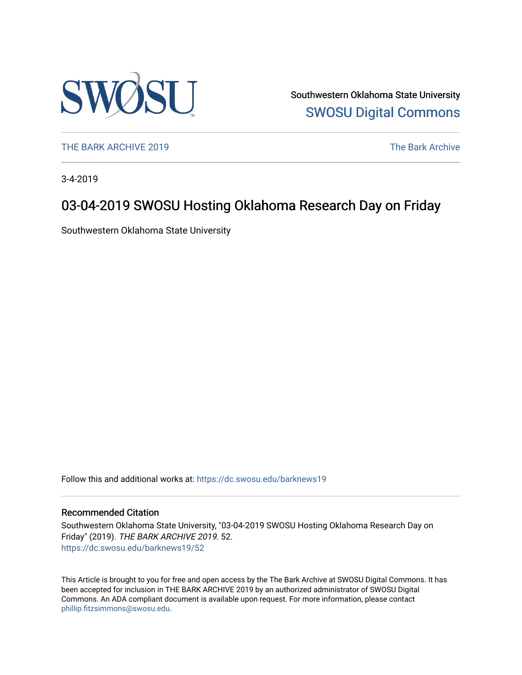

Southwestern Oklahoma State University [SWOSU Digital Commons](https://dc.swosu.edu/) 

[THE BARK ARCHIVE 2019](https://dc.swosu.edu/barknews19) The Bark Archive

3-4-2019

### 03-04-2019 SWOSU Hosting Oklahoma Research Day on Friday

Southwestern Oklahoma State University

Follow this and additional works at: [https://dc.swosu.edu/barknews19](https://dc.swosu.edu/barknews19?utm_source=dc.swosu.edu%2Fbarknews19%2F52&utm_medium=PDF&utm_campaign=PDFCoverPages)

#### Recommended Citation

Southwestern Oklahoma State University, "03-04-2019 SWOSU Hosting Oklahoma Research Day on Friday" (2019). THE BARK ARCHIVE 2019. 52. [https://dc.swosu.edu/barknews19/52](https://dc.swosu.edu/barknews19/52?utm_source=dc.swosu.edu%2Fbarknews19%2F52&utm_medium=PDF&utm_campaign=PDFCoverPages) 

This Article is brought to you for free and open access by the The Bark Archive at SWOSU Digital Commons. It has been accepted for inclusion in THE BARK ARCHIVE 2019 by an authorized administrator of SWOSU Digital Commons. An ADA compliant document is available upon request. For more information, please contact [phillip.fitzsimmons@swosu.edu](mailto:phillip.fitzsimmons@swosu.edu).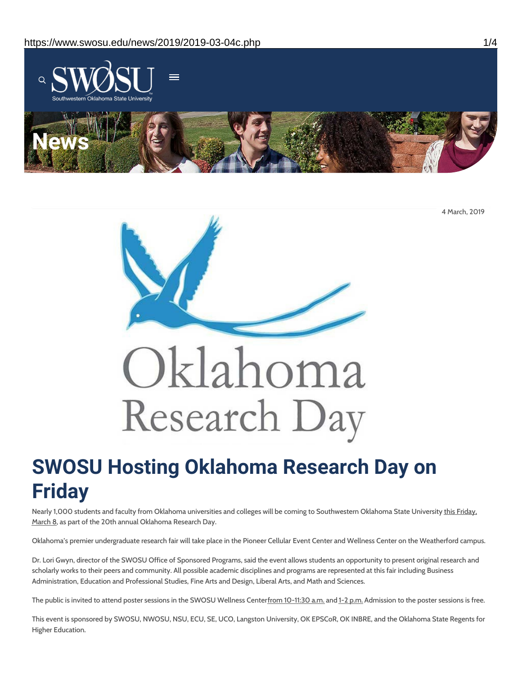

4 March, 2019



## **SWOSU Hosting Oklahoma Research Day on Friday**

Nearly 1,000 students and faculty from Oklahoma universities and colleges will be coming to Southwestern Oklahoma State University this Friday, March 8, as part of the 20th annual Oklahoma Research Day.

Oklahoma's premier undergraduate research fair will take place in the Pioneer Cellular Event Center and Wellness Center on the Weatherford campus.

Dr. Lori Gwyn, director of the SWOSU Office of Sponsored Programs, said the event allows students an opportunity to present original research and scholarly works to their peers and community. All possible academic disciplines and programs are represented at this fair including Business Administration, Education and Professional Studies, Fine Arts and Design, Liberal Arts, and Math and Sciences.

The public is invited to attend poster sessions in the SWOSU Wellness Centerfrom 10-11:30 a.m. and 1-2 p.m. Admission to the poster sessions is free.

This event is sponsored by SWOSU, NWOSU, NSU, ECU, SE, UCO, Langston University, OK EPSCoR, OK INBRE, and the Oklahoma State Regents for Higher Education.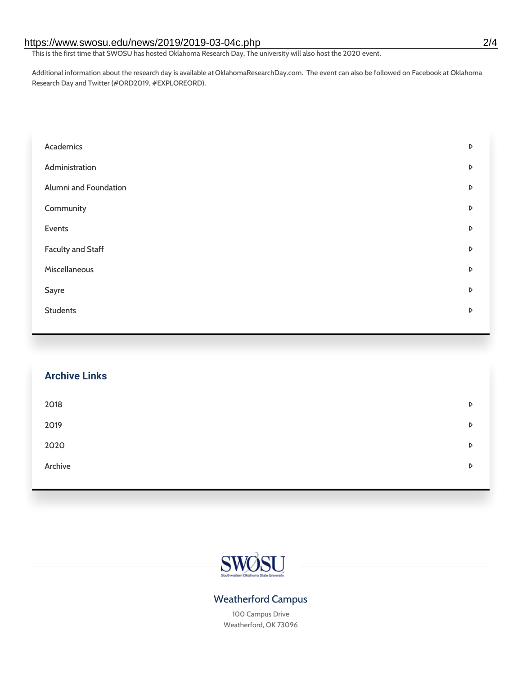#### https://www.swosu.edu/news/2019/2019-03-04c.php 2/4

This is the first time that SWOSU has hosted Oklahoma Research Day. The university will also host the 2020 event.

Additional information about the research day is available atOklahomaResearchDay.com. The event can also be followed on Facebook at Oklahoma Research Day and Twitter (#ORD2019, #EXPLOREORD).

| Academics             | D |
|-----------------------|---|
| Administration        | D |
| Alumni and Foundation | D |
| Community             | D |
| Events                | D |
| Faculty and Staff     | D |
| Miscellaneous         | D |
| Sayre                 | D |
| <b>Students</b>       | D |
|                       |   |

# **Archive Links**  $2018$  $2019$ [2020](https://www.swosu.edu/news/2020/index.php)  $\bullet$ [Archive](https://dc.swosu.edu/bark/) **Archive Archive Archive Archive Archive** Archive Archive Archive Archive Archive Archive Archive Archive



### Weatherford Campus

100 Campus Drive Weatherford, OK 73096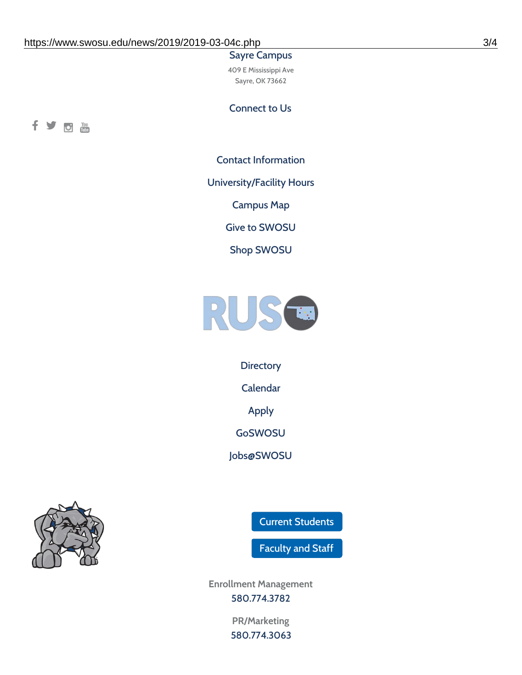#### Sayre Campus

409 E Mississippi Ave Sayre, OK 73662

Connect to Us



Contact [Information](https://www.swosu.edu/about/contact.php)

[University/Facility](https://www.swosu.edu/about/operating-hours.php) Hours

[Campus](https://map.concept3d.com/?id=768#!ct/10964,10214,10213,10212,10205,10204,10203,10202,10136,10129,10128,0,31226,10130,10201,10641,0) Map

Give to [SWOSU](https://standingfirmly.com/donate)

Shop [SWOSU](https://shopswosu.merchorders.com/)



**[Directory](https://www.swosu.edu/directory/index.php)** 

[Calendar](https://eventpublisher.dudesolutions.com/swosu/)

[Apply](https://www.swosu.edu/admissions/apply-to-swosu.php)

[GoSWOSU](https://qlsso.quicklaunchsso.com/home/1267)

[Jobs@SWOSU](https://swosu.csod.com/ux/ats/careersite/1/home?c=swosu)



Current [Students](https://bulldog.swosu.edu/index.php)

[Faculty](https://bulldog.swosu.edu/faculty-staff/index.php) and Staff

**Enrollment Management** [580.774.3782](tel:5807743782)

> **PR/Marketing** [580.774.3063](tel:5807743063)